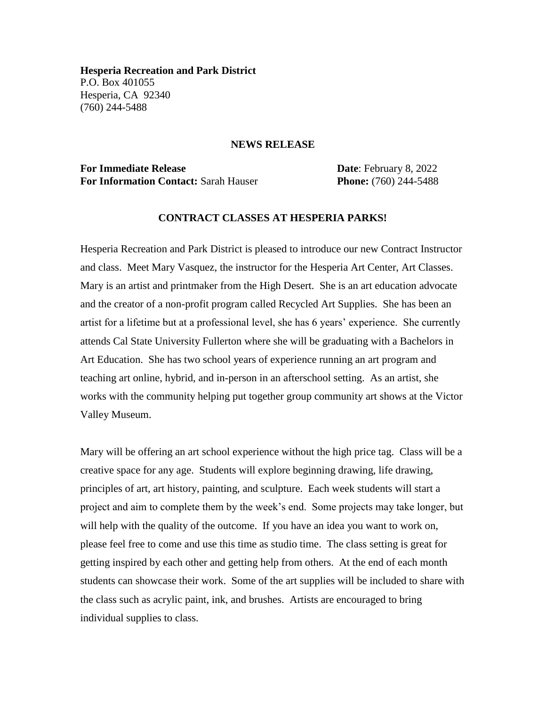**Hesperia Recreation and Park District** P.O. Box 401055 Hesperia, CA 92340 (760) 244-5488

## **NEWS RELEASE**

**For Immediate Release Date: February 8, 2022 For Information Contact:** Sarah Hauser **Phone:** (760) 244-5488

## **CONTRACT CLASSES AT HESPERIA PARKS!**

Hesperia Recreation and Park District is pleased to introduce our new Contract Instructor and class. Meet Mary Vasquez, the instructor for the Hesperia Art Center, Art Classes. Mary is an artist and printmaker from the High Desert. She is an art education advocate and the creator of a non-profit program called Recycled Art Supplies. She has been an artist for a lifetime but at a professional level, she has 6 years' experience. She currently attends Cal State University Fullerton where she will be graduating with a Bachelors in Art Education. She has two school years of experience running an art program and teaching art online, hybrid, and in-person in an afterschool setting. As an artist, she works with the community helping put together group community art shows at the Victor Valley Museum.

Mary will be offering an art school experience without the high price tag. Class will be a creative space for any age. Students will explore beginning drawing, life drawing, principles of art, art history, painting, and sculpture. Each week students will start a project and aim to complete them by the week's end. Some projects may take longer, but will help with the quality of the outcome. If you have an idea you want to work on, please feel free to come and use this time as studio time. The class setting is great for getting inspired by each other and getting help from others. At the end of each month students can showcase their work. Some of the art supplies will be included to share with the class such as acrylic paint, ink, and brushes. Artists are encouraged to bring individual supplies to class.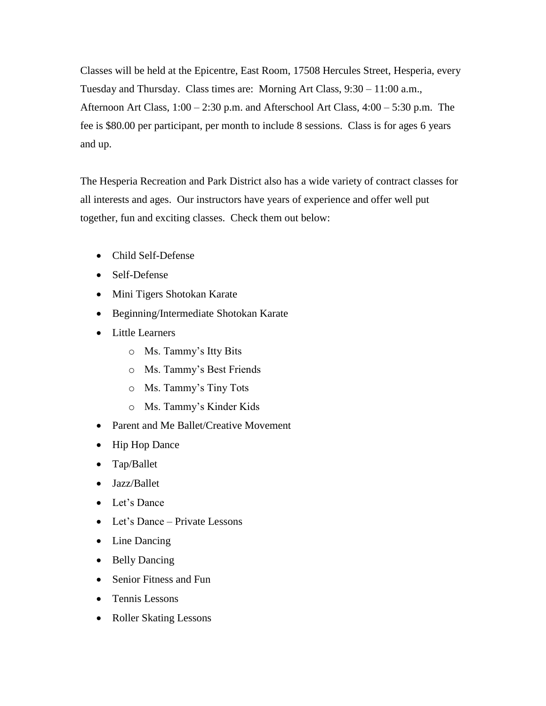Classes will be held at the Epicentre, East Room, 17508 Hercules Street, Hesperia, every Tuesday and Thursday. Class times are: Morning Art Class, 9:30 – 11:00 a.m., Afternoon Art Class, 1:00 – 2:30 p.m. and Afterschool Art Class, 4:00 – 5:30 p.m. The fee is \$80.00 per participant, per month to include 8 sessions. Class is for ages 6 years and up.

The Hesperia Recreation and Park District also has a wide variety of contract classes for all interests and ages. Our instructors have years of experience and offer well put together, fun and exciting classes. Check them out below:

- Child Self-Defense
- Self-Defense
- Mini Tigers Shotokan Karate
- Beginning/Intermediate Shotokan Karate
- Little Learners
	- o Ms. Tammy's Itty Bits
	- o Ms. Tammy's Best Friends
	- o Ms. Tammy's Tiny Tots
	- o Ms. Tammy's Kinder Kids
- Parent and Me Ballet/Creative Movement
- Hip Hop Dance
- Tap/Ballet
- Jazz/Ballet
- Let's Dance
- Let's Dance Private Lessons
- Line Dancing
- Belly Dancing
- Senior Fitness and Fun
- Tennis Lessons
- Roller Skating Lessons